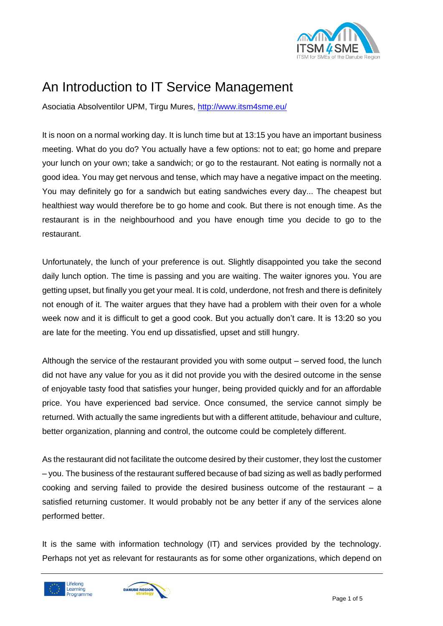

## An Introduction to IT Service Management

Asociatia Absolventilor UPM, Tirgu Mures,<http://www.itsm4sme.eu/>

It is noon on a normal working day. It is lunch time but at 13:15 you have an important business meeting. What do you do? You actually have a few options: not to eat; go home and prepare your lunch on your own; take a sandwich; or go to the restaurant. Not eating is normally not a good idea. You may get nervous and tense, which may have a negative impact on the meeting. You may definitely go for a sandwich but eating sandwiches every day... The cheapest but healthiest way would therefore be to go home and cook. But there is not enough time. As the restaurant is in the neighbourhood and you have enough time you decide to go to the restaurant.

Unfortunately, the lunch of your preference is out. Slightly disappointed you take the second daily lunch option. The time is passing and you are waiting. The waiter ignores you. You are getting upset, but finally you get your meal. It is cold, underdone, not fresh and there is definitely not enough of it. The waiter argues that they have had a problem with their oven for a whole week now and it is difficult to get a good cook. But you actually don't care. It is 13:20 so you are late for the meeting. You end up dissatisfied, upset and still hungry.

Although the service of the restaurant provided you with some output – served food, the lunch did not have any value for you as it did not provide you with the desired outcome in the sense of enjoyable tasty food that satisfies your hunger, being provided quickly and for an affordable price. You have experienced bad service. Once consumed, the service cannot simply be returned. With actually the same ingredients but with a different attitude, behaviour and culture, better organization, planning and control, the outcome could be completely different.

As the restaurant did not facilitate the outcome desired by their customer, they lost the customer – you. The business of the restaurant suffered because of bad sizing as well as badly performed cooking and serving failed to provide the desired business outcome of the restaurant  $-$  a satisfied returning customer. It would probably not be any better if any of the services alone performed better.

It is the same with information technology (IT) and services provided by the technology. Perhaps not yet as relevant for restaurants as for some other organizations, which depend on



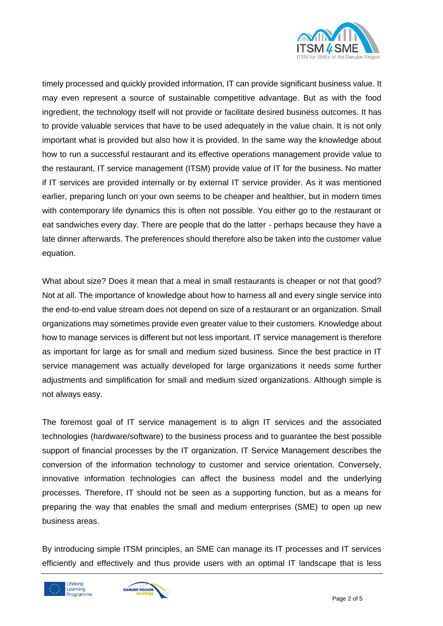

timely processed and quickly provided information, IT can provide significant business value. It may even represent a source of sustainable competitive advantage. But as with the food ingredient, the technology itself will not provide or facilitate desired business outcomes. It has to provide valuable services that have to be used adequately in the value chain. It is not only important what is provided but also how it is provided. In the same way the knowledge about how to run a successful restaurant and its effective operations management provide value to the restaurant, IT service management (ITSM) provide value of IT for the business. No matter if IT services are provided internally or by external IT service provider. As it was mentioned earlier, preparing lunch on your own seems to be cheaper and healthier, but in modern times with contemporary life dynamics this is often not possible. You either go to the restaurant or eat sandwiches every day. There are people that do the latter - perhaps because they have a late dinner afterwards. The preferences should therefore also be taken into the customer value equation.

What about size? Does it mean that a meal in small restaurants is cheaper or not that good? Not at all. The importance of knowledge about how to harness all and every single service into the end-to-end value stream does not depend on size of a restaurant or an organization. Small organizations may sometimes provide even greater value to their customers. Knowledge about how to manage services is different but not less important. IT service management is therefore as important for large as for small and medium sized business. Since the best practice in IT service management was actually developed for large organizations it needs some further adjustments and simplification for small and medium sized organizations. Although simple is not always easy.

The foremost goal of IT service management is to align IT services and the associated technologies (hardware/software) to the business process and to guarantee the best possible support of financial processes by the IT organization. IT Service Management describes the conversion of the information technology to customer and service orientation. Conversely, innovative information technologies can affect the business model and the underlying processes. Therefore, IT should not be seen as a supporting function, but as a means for preparing the way that enables the small and medium enterprises (SME) to open up new business areas.

By introducing simple ITSM principles, an SME can manage its IT processes and IT services efficiently and effectively and thus provide users with an optimal IT landscape that is less



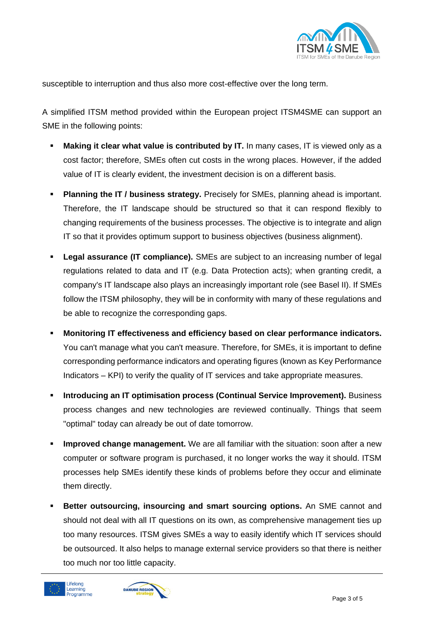

susceptible to interruption and thus also more cost-effective over the long term.

A simplified ITSM method provided within the European project ITSM4SME can support an SME in the following points:

- **Making it clear what value is contributed by IT.** In many cases, IT is viewed only as a cost factor; therefore, SMEs often cut costs in the wrong places. However, if the added value of IT is clearly evident, the investment decision is on a different basis.
- **Planning the IT / business strategy.** Precisely for SMEs, planning ahead is important. Therefore, the IT landscape should be structured so that it can respond flexibly to changing requirements of the business processes. The objective is to integrate and align IT so that it provides optimum support to business objectives (business alignment).
- **Legal assurance (IT compliance).** SMEs are subject to an increasing number of legal regulations related to data and IT (e.g. Data Protection acts); when granting credit, a company's IT landscape also plays an increasingly important role (see Basel II). If SMEs follow the ITSM philosophy, they will be in conformity with many of these regulations and be able to recognize the corresponding gaps.
- **Monitoring IT effectiveness and efficiency based on clear performance indicators.**  You can't manage what you can't measure. Therefore, for SMEs, it is important to define corresponding performance indicators and operating figures (known as Key Performance Indicators – KPI) to verify the quality of IT services and take appropriate measures.
- **Introducing an IT optimisation process (Continual Service Improvement).** Business process changes and new technologies are reviewed continually. Things that seem "optimal" today can already be out of date tomorrow.
- **Improved change management.** We are all familiar with the situation: soon after a new computer or software program is purchased, it no longer works the way it should. ITSM processes help SMEs identify these kinds of problems before they occur and eliminate them directly.
- **Better outsourcing, insourcing and smart sourcing options.** An SME cannot and should not deal with all IT questions on its own, as comprehensive management ties up too many resources. ITSM gives SMEs a way to easily identify which IT services should be outsourced. It also helps to manage external service providers so that there is neither too much nor too little capacity.



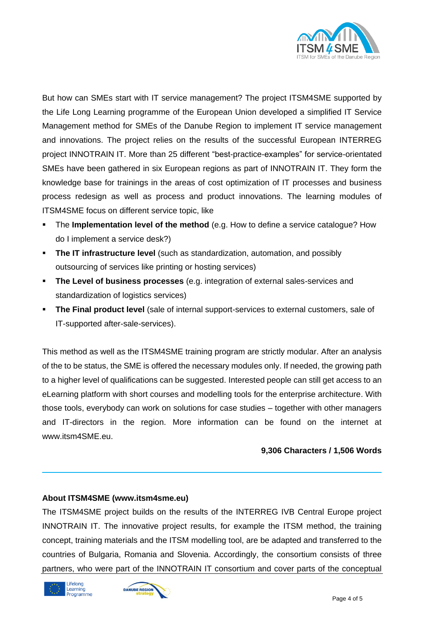

But how can SMEs start with IT service management? The project ITSM4SME supported by the Life Long Learning programme of the European Union developed a simplified IT Service Management method for SMEs of the Danube Region to implement IT service management and innovations. The project relies on the results of the successful European INTERREG project INNOTRAIN IT. More than 25 different "best-practice-examples" for service-orientated SMEs have been gathered in six European regions as part of INNOTRAIN IT. They form the knowledge base for trainings in the areas of cost optimization of IT processes and business process redesign as well as process and product innovations. The learning modules of ITSM4SME focus on different service topic, like

- The **Implementation level of the method** (e.g. How to define a service catalogue? How do I implement a service desk?)
- **The IT infrastructure level** (such as standardization, automation, and possibly outsourcing of services like printing or hosting services)
- **The Level of business processes** (e.g. integration of external sales-services and standardization of logistics services)
- **The Final product level** (sale of internal support-services to external customers, sale of IT-supported after-sale-services).

This method as well as the ITSM4SME training program are strictly modular. After an analysis of the to be status, the SME is offered the necessary modules only. If needed, the growing path to a higher level of qualifications can be suggested. Interested people can still get access to an eLearning platform with short courses and modelling tools for the enterprise architecture. With those tools, everybody can work on solutions for case studies – together with other managers and IT-directors in the region. More information can be found on the internet at www.itsm4SME.eu.

## **9,306 Characters / 1,506 Words**

## **About ITSM4SME (www.itsm4sme.eu)**

The ITSM4SME project builds on the results of the INTERREG IVB Central Europe project INNOTRAIN IT. The innovative project results, for example the ITSM method, the training concept, training materials and the ITSM modelling tool, are be adapted and transferred to the countries of Bulgaria, Romania and Slovenia. Accordingly, the consortium consists of three partners, who were part of the INNOTRAIN IT consortium and cover parts of the conceptual